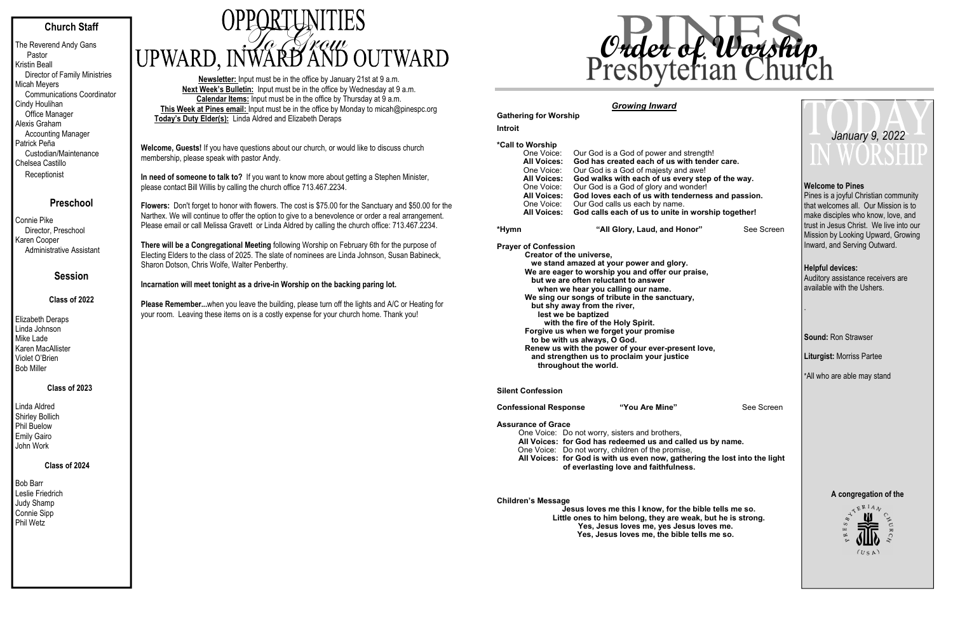### **Church Staff**

The Reverend Andy Gans Pastor Kristin Beall Director of Family Ministries Micah Meyers Communications Coordinator Cindy Houlihan Office Manager Alexis Graham Accounting Manager Patrick Peña Custodian/Maintenance Chelsea Castillo **Receptionist** 

#### **Preschool**

Bob Barr Leslie Friedrich Judy Shamp Connie Sipp Phil Wetz

# UPWARD, INWARD AND OUTWARD

Connie Pike Director, Preschool Karen Cooper Administrative Assistant

### **Session**

#### **Class of 2022**

Elizabeth Deraps Linda Johnson Mike Lade Karen MacAllister Violet O'Brien Bob Miller

#### **Class of 2023**

Linda Aldred Shirley Bollich Phil Buelow Emily Gairo John Work

#### **Class of 2024**

**Newsletter:** Input must be in the office by January 21st at 9 a.m. **Next Week's Bulletin:** Input must be in the office by Wednesday at 9 a.m. **Calendar Items:** Input must be in the office by Thursday at 9 a.m. **This Week at Pines email:** Input must be in the office by Monday to micah@pinespc.org **Today's Duty Elder(s):** Linda Aldred and Elizabeth Deraps

**Welcome, Guests!** If you have questions about our church, or would like to discuss church membership, please speak with pastor Andy.

**In need of someone to talk to?** If you want to know more about getting a Stephen Minister, please contact Bill Willis by calling the church office 713.467.2234.

**Flowers:** Don't forget to honor with flowers. The cost is \$75.00 for the Sanctuary and \$50.00 for the Narthex. We will continue to offer the option to give to a benevolence or order a real arrangement. Please email or call Melissa Gravett or Linda Aldred by calling the church office: 713.467.2234.

**There will be a Congregational Meeting** following Worship on February 6th for the purpose of Electing Elders to the class of 2025. The slate of nominees are Linda Johnson, Susan Babineck, Sharon Dotson, Chris Wolfe, Walter Penberthy.

#### **Incarnation will meet tonight as a drive-in Worship on the backing paring lot.**

Pines is a joyful Christian community that welcomes all. Our Mission is to make disciples who know, love, and trust in Jesus Christ. We live into our Mission by Looking Upward, Growing Inward, and Serving Outward.

**Please Remember...**when you leave the building, please turn off the lights and A/C or Heating for your room. Leaving these items on is a costly expense for your church home. Thank you!

#### *Growing Inward*

## **Gathering for Worship**

#### **Introit**

## **\*Call to Worship**

Our God is a God of power and strength! **All Voices: God has created each of us with tender care.**  One Voice: Our God is a God of majesty and awe!<br>**All Voices: God walks with each of us every ste** God walks with each of us every step of the way. One Voice: Our God is a God of glory and wonder!  **All Voices: God loves each of us with tenderness and passion.**  One Voice: Our God calls us each by name.<br>All Voices: God calls each of us to unite in **God calls each of us to unite in worship together!** 

#### **\*Hym**

"All Glory, Laud, and Honor" See Screen

**Prayer of Confession Creator of the universe, we stand amazed at your power and glory. We are eager to worship you and offer our praise, but we are often reluctant to answer when we hear you calling our name. We sing our songs of tribute in the sanctuary, but shy away from the river, lest we be baptized with the fire of the Holy Spirit. Forgive us when we forget your promise to be with us always, O God.** 

**Renew us with the power of your ever-present love, and strengthen us to proclaim your justice throughout the world.** 

#### **Silent Confession**

**Confessional Response "You Are Mine"** See Screen

#### **Assurance of Grace**

One Voice: Do not worry, sisters and brothers, **All Voices: for God has redeemed us and called us by name.**  One Voice: Do not worry, children of the promise, **All Voices: for God is with us even now, gathering the lost into the light of everlasting love and faithfulness.** 

**Children's Message** 

 **Jesus loves me this I know, for the bible tells me so. Little ones to him belong, they are weak, but he is strong. Yes, Jesus loves me, yes Jesus loves me. Yes, Jesus loves me, the bible tells me so.** 

#### **Welcome to Pines**

**Helpful devices:**  Auditory assistance receivers are available with the Ushers.

.

**Sound:** Ron Strawser

**Liturgist:** Morriss Partee

\*All who are able may stand



## *January 9, 2022*